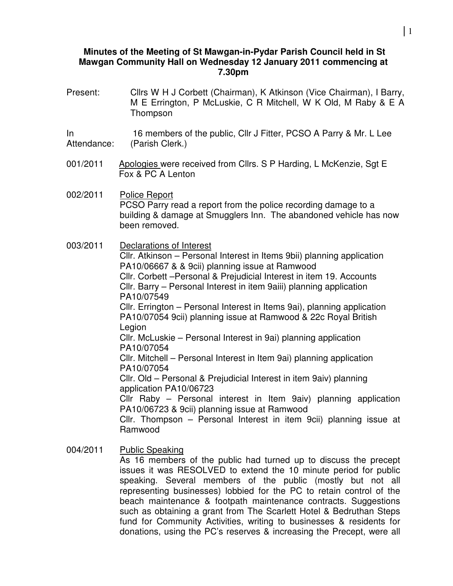#### **Minutes of the Meeting of St Mawgan-in-Pydar Parish Council held in St Mawgan Community Hall on Wednesday 12 January 2011 commencing at 7.30pm**

Present: Cllrs W H J Corbett (Chairman), K Atkinson (Vice Chairman), I Barry, M E Errington, P McLuskie, C R Mitchell, W K Old, M Raby & E A Thompson

In Attendance: 16 members of the public, Cllr J Fitter, PCSO A Parry & Mr. L Lee (Parish Clerk.)

001/2011 Apologies were received from Cllrs. S P Harding, L McKenzie, Sgt E Fox & PC A Lenton

002/2011 Police Report PCSO Parry read a report from the police recording damage to a building & damage at Smugglers Inn. The abandoned vehicle has now been removed.

003/2011 Declarations of Interest

Cllr. Atkinson – Personal Interest in Items 9bii) planning application PA10/06667 & & 9cii) planning issue at Ramwood Cllr. Corbett –Personal & Prejudicial Interest in item 19. Accounts Cllr. Barry – Personal Interest in item 9aiii) planning application PA10/07549

Cllr. Errington – Personal Interest in Items 9ai), planning application PA10/07054 9cii) planning issue at Ramwood & 22c Royal British Legion

Cllr. McLuskie – Personal Interest in 9ai) planning application PA10/07054

Cllr. Mitchell – Personal Interest in Item 9ai) planning application PA10/07054

Cllr. Old – Personal & Prejudicial Interest in item 9aiv) planning application PA10/06723

Cllr Raby – Personal interest in Item 9aiv) planning application PA10/06723 & 9cii) planning issue at Ramwood

Cllr. Thompson – Personal Interest in item 9cii) planning issue at Ramwood

004/2011 Public Speaking As 16 members of the public had turned up to discuss the precept issues it was RESOLVED to extend the 10 minute period for public speaking. Several members of the public (mostly but not all representing businesses) lobbied for the PC to retain control of the beach maintenance & footpath maintenance contracts. Suggestions such as obtaining a grant from The Scarlett Hotel & Bedruthan Steps fund for Community Activities, writing to businesses & residents for donations, using the PC's reserves & increasing the Precept, were all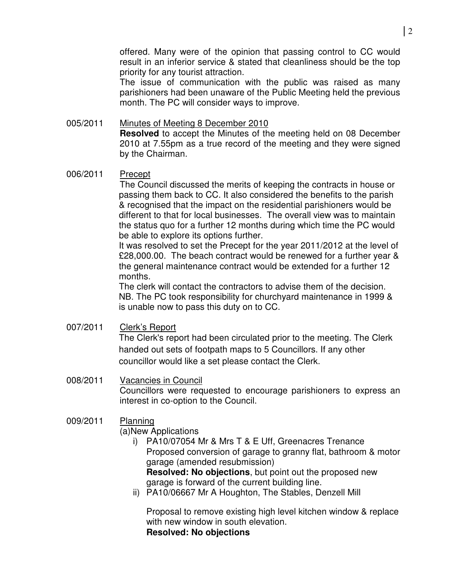offered. Many were of the opinion that passing control to CC would result in an inferior service & stated that cleanliness should be the top priority for any tourist attraction.

The issue of communication with the public was raised as many parishioners had been unaware of the Public Meeting held the previous month. The PC will consider ways to improve.

### 005/2011 Minutes of Meeting 8 December 2010 **Resolved** to accept the Minutes of the meeting held on 08 December 2010 at 7.55pm as a true record of the meeting and they were signed by the Chairman.

## 006/2011 Precept

The Council discussed the merits of keeping the contracts in house or passing them back to CC. It also considered the benefits to the parish & recognised that the impact on the residential parishioners would be different to that for local businesses. The overall view was to maintain the status quo for a further 12 months during which time the PC would be able to explore its options further.

It was resolved to set the Precept for the year 2011/2012 at the level of £28,000.00. The beach contract would be renewed for a further year & the general maintenance contract would be extended for a further 12 months.

The clerk will contact the contractors to advise them of the decision. NB. The PC took responsibility for churchyard maintenance in 1999 & is unable now to pass this duty on to CC.

- 007/2011 Clerk's Report The Clerk's report had been circulated prior to the meeting. The Clerk handed out sets of footpath maps to 5 Councillors. If any other councillor would like a set please contact the Clerk.
- 008/2011 Vacancies in Council Councillors were requested to encourage parishioners to express an interest in co-option to the Council.

# 009/2011 Planning

(a)New Applications

- i) PA10/07054 Mr & Mrs T & E Uff, Greenacres Trenance Proposed conversion of garage to granny flat, bathroom & motor garage (amended resubmission) **Resolved: No objections**, but point out the proposed new garage is forward of the current building line.
- ii) PA10/06667 Mr A Houghton, The Stables, Denzell Mill

Proposal to remove existing high level kitchen window & replace with new window in south elevation. **Resolved: No objections**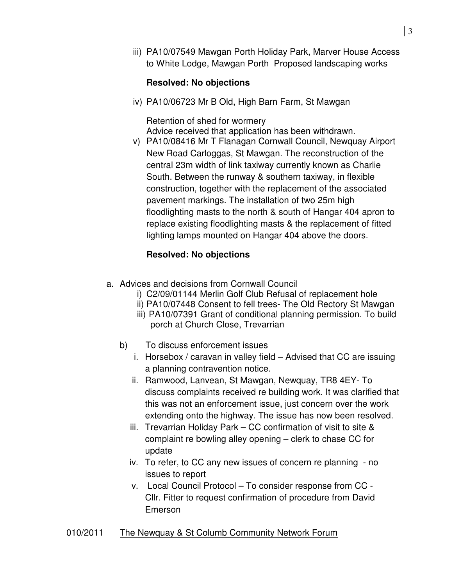iii) PA10/07549 Mawgan Porth Holiday Park, Marver House Access to White Lodge, Mawgan Porth Proposed landscaping works

# **Resolved: No objections**

iv) PA10/06723 Mr B Old, High Barn Farm, St Mawgan

Retention of shed for wormery Advice received that application has been withdrawn.

v) PA10/08416 Mr T Flanagan Cornwall Council, Newquay Airport New Road Carloggas, St Mawgan. The reconstruction of the central 23m width of link taxiway currently known as Charlie South. Between the runway & southern taxiway, in flexible construction, together with the replacement of the associated pavement markings. The installation of two 25m high floodlighting masts to the north & south of Hangar 404 apron to replace existing floodlighting masts & the replacement of fitted lighting lamps mounted on Hangar 404 above the doors.

## **Resolved: No objections**

- a. Advices and decisions from Cornwall Council
	- i) C2/09/01144 Merlin Golf Club Refusal of replacement hole
	- ii) PA10/07448 Consent to fell trees- The Old Rectory St Mawgan
	- iii) PA10/07391 Grant of conditional planning permission. To build porch at Church Close, Trevarrian
	- b) To discuss enforcement issues
		- i. Horsebox / caravan in valley field Advised that CC are issuing a planning contravention notice.
		- ii. Ramwood, Lanvean, St Mawgan, Newquay, TR8 4EY- To discuss complaints received re building work. It was clarified that this was not an enforcement issue, just concern over the work extending onto the highway. The issue has now been resolved.
		- iii. Trevarrian Holiday Park CC confirmation of visit to site & complaint re bowling alley opening – clerk to chase CC for update
		- iv. To refer, to CC any new issues of concern re planning no issues to report
		- v. Local Council Protocol To consider response from CC Cllr. Fitter to request confirmation of procedure from David Emerson

#### 010/2011 The Newquay & St Columb Community Network Forum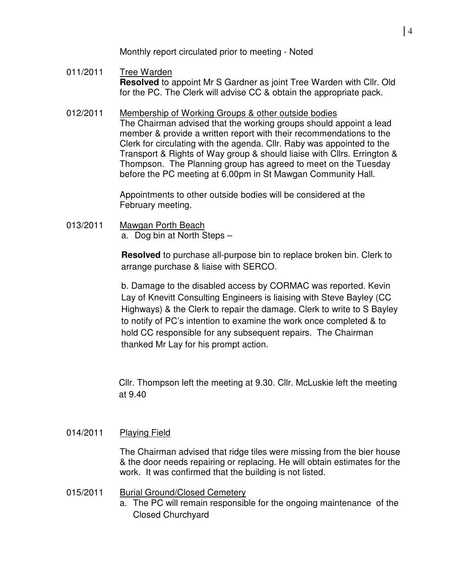Monthly report circulated prior to meeting - Noted

- 011/2011 Tree Warden **Resolved** to appoint Mr S Gardner as joint Tree Warden with Cllr. Old for the PC. The Clerk will advise CC & obtain the appropriate pack.
- 012/2011 Membership of Working Groups & other outside bodies The Chairman advised that the working groups should appoint a lead member & provide a written report with their recommendations to the Clerk for circulating with the agenda. Cllr. Raby was appointed to the Transport & Rights of Way group & should liaise with Cllrs. Errington & Thompson. The Planning group has agreed to meet on the Tuesday before the PC meeting at 6.00pm in St Mawgan Community Hall.

Appointments to other outside bodies will be considered at the February meeting.

013/2011 Mawgan Porth Beach a. Dog bin at North Steps –

> **Resolved** to purchase all-purpose bin to replace broken bin. Clerk to arrange purchase & liaise with SERCO.

b. Damage to the disabled access by CORMAC was reported. Kevin Lay of Knevitt Consulting Engineers is liaising with Steve Bayley (CC Highways) & the Clerk to repair the damage. Clerk to write to S Bayley to notify of PC's intention to examine the work once completed & to hold CC responsible for any subsequent repairs. The Chairman thanked Mr Lay for his prompt action.

Cllr. Thompson left the meeting at 9.30. Cllr. McLuskie left the meeting at 9.40

# 014/2011 Playing Field

The Chairman advised that ridge tiles were missing from the bier house & the door needs repairing or replacing. He will obtain estimates for the work. It was confirmed that the building is not listed.

- 015/2011 Burial Ground/Closed Cemetery
	- a. The PC will remain responsible for the ongoing maintenance of the Closed Churchyard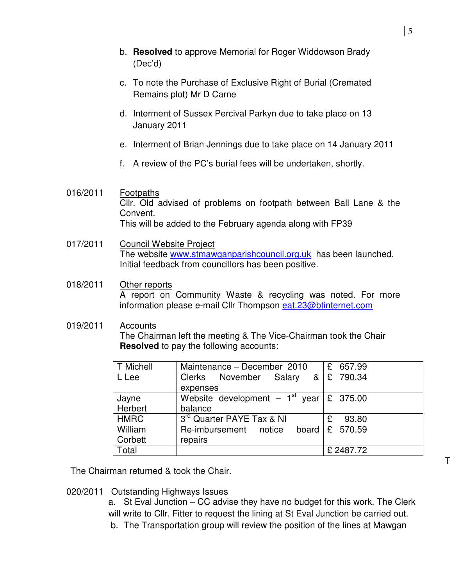- b. **Resolved** to approve Memorial for Roger Widdowson Brady (Dec'd)
- c. To note the Purchase of Exclusive Right of Burial (Cremated Remains plot) Mr D Carne
- d. Interment of Sussex Percival Parkyn due to take place on 13 January 2011
- e. Interment of Brian Jennings due to take place on 14 January 2011
- f. A review of the PC's burial fees will be undertaken, shortly.

## 016/2011 Footpaths Cllr. Old advised of problems on footpath between Ball Lane & the Convent. This will be added to the February agenda along with FP39

017/2011 Council Website Project The website www.stmawganparishcouncil.org.uk has been launched. Initial feedback from councillors has been positive.

#### 018/2011 Other reports A report on Community Waste & recycling was noted. For more information please e-mail Cllr Thompson eat.23@btinternet.com

#### 019/2011 Accounts The Chairman left the meeting & The Vice-Chairman took the Chair **Resolved** to pay the following accounts:

| T Michell   | Maintenance - December 2010                               | £ 657.99                   |
|-------------|-----------------------------------------------------------|----------------------------|
| L Lee       | Clerks November Salary & £ 790.34                         |                            |
|             | expenses                                                  |                            |
| Jayne       | Website development - $1^{st}$ year $\overline{E}$ 375.00 |                            |
| Herbert     | balance                                                   |                            |
| <b>HMRC</b> | 3 <sup>rd</sup> Quarter PAYE Tax & NI                     | 93.80<br>£                 |
| William     | Re-imbursement notice                                     | board $\mathcal{E}$ 570.59 |
| Corbett     | repairs                                                   |                            |
| Total       |                                                           | £2487.72                   |

The Chairman returned & took the Chair.

020/2011 Outstanding Highways Issues

a. St Eval Junction – CC advise they have no budget for this work. The Clerk will write to Cllr. Fitter to request the lining at St Eval Junction be carried out. b. The Transportation group will review the position of the lines at Mawgan

T